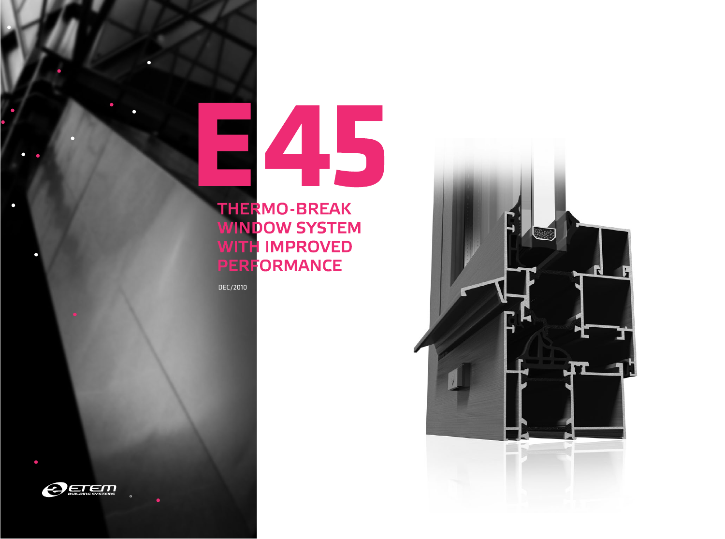# 245

### **THERMO-BREAK WINDOW SYSTEM WITH IMPROVED PERFORMANCE**

DEC/2010



 $\bullet$ 

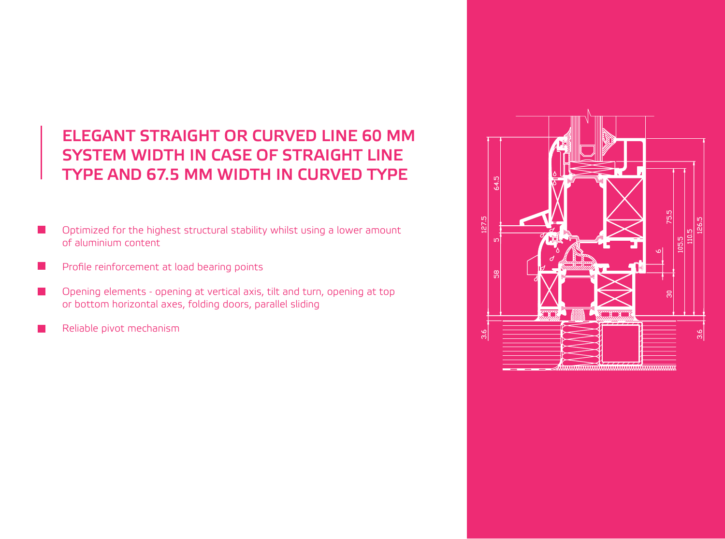### **ELEGANT STRAIGHT OR CURVED LINE 60 MM SYSTEM WIDTH IN CASE OF STRAIGHT LINE TYPE AND 67.5 MM WIDTH IN CURVED TYPE**

- Optimized for the highest structural stability whilst using a lower amount of aluminium content
- Profile reinforcement at load bearing points I.
- Opening elements opening at vertical axis, tilt and turn, opening at top  $\mathcal{L}^{\text{max}}$ or bottom horizontal axes, folding doors, parallel sliding
- Reliable pivot mechanism

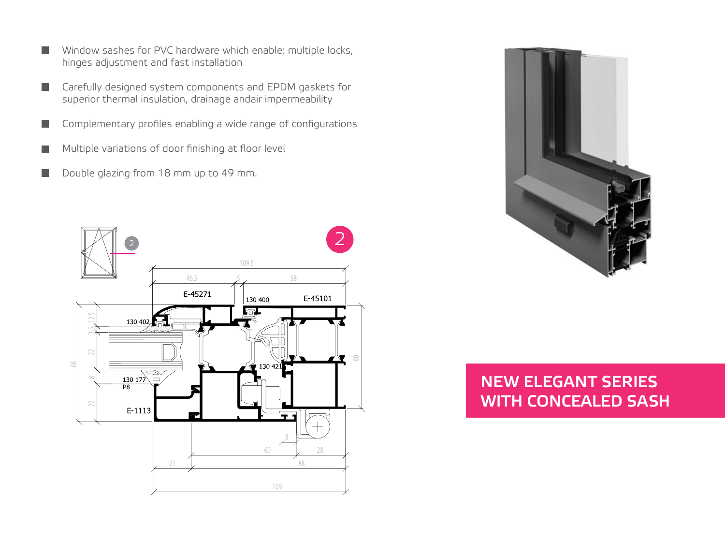- Window sashes for PVC hardware which enable: multiple locks, n. hinges adjustment and fast installation
- Carefully designed system components and EPDM gaskets for n. superior thermal insulation, drainage andair impermeability
- Complementary profiles enabling a wide range of configurations ш
- Multiple variations of door finishing at floor level **Tara**
- Double glazing from 18 mm up to 49 mm. **Tale**





### **NEW ELEGANT SERIES WITH CONCEALED SASH**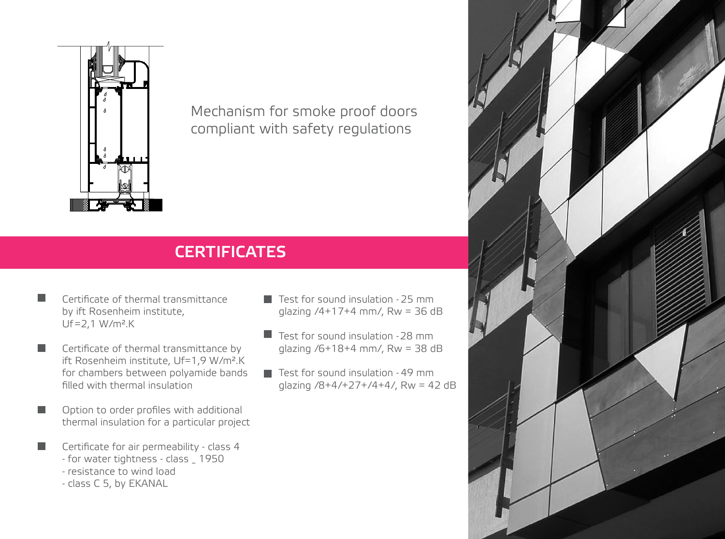

Mechanism for smoke proof doors compliant with safety regulations

## **CERTIFICATES**

Certificate of thermal transmittance by ift Rosenheim institute, Uf=2,1 W/m².K

ш

ш

ш

- Certificate of thermal transmittance by **Tale** ift Rosenheim institute, Uf=1,9 W/m².K for chambers between polyamide bands filled with thermal insulation
	- Option to order profiles with additional thermal insulation for a particular project
	- Certificate for air permeability class 4
		- for water tightness class \_ 1950
		- resistance to wind load
		- class C 5, by EKANAL
- $\blacksquare$  Test for sound insulation 25 mm glazing /4+17+4 mm/, Rw = 36 dB
- Test for sound insulation 28 mm glazing /6+18+4 mm/, Rw = 38 dB
- $\blacksquare$  Test for sound insulation 49 mm glazing  $/8 + 4/ + 27 + /4 + 4/$ , Rw = 42 dB